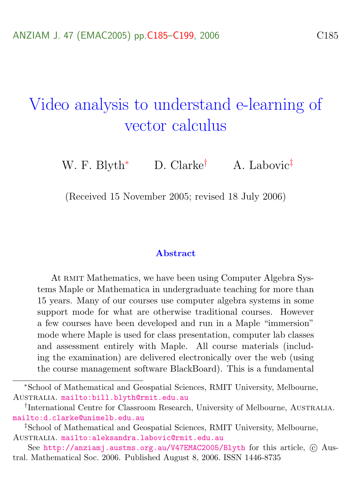# <span id="page-0-0"></span>Video analysis to understand e-learning of vector calculus

W. F. Blyth<sup>\*</sup> D. Clarke<sup>†</sup> A. Labovic<sup>‡</sup>

(Received 15 November 2005; revised 18 July 2006)

#### Abstract

At RMIT Mathematics, we have been using Computer Algebra Systems Maple or Mathematica in undergraduate teaching for more than 15 years. Many of our courses use computer algebra systems in some support mode for what are otherwise traditional courses. However a few courses have been developed and run in a Maple "immersion" mode where Maple is used for class presentation, computer lab classes and assessment entirely with Maple. All course materials (including the examination) are delivered electronically over the web (using the course management software BlackBoard). This is a fundamental

<sup>∗</sup>School of Mathematical and Geospatial Sciences, RMIT University, Melbourne, Australia. <mailto:bill.blyth@rmit.edu.au>

<sup>&</sup>lt;sup>†</sup>International Centre for Classroom Research, University of Melbourne, AUSTRALIA. <mailto:d.clarke@unimelb.edu.au>

<sup>‡</sup>School of Mathematical and Geospatial Sciences, RMIT University, Melbourne, Australia. <mailto:aleksandra.labovic@rmit.edu.au>

See <http://anziamj.austms.org.au/V47EMAC2005/Blyth> for this article,  $\odot$  Austral. Mathematical Soc. 2006. Published August 8, 2006. ISSN 1446-8735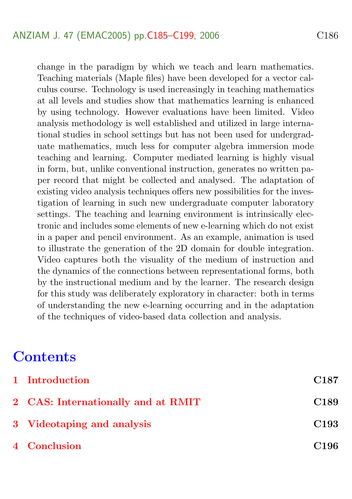change in the paradigm by which we teach and learn mathematics. Teaching materials (Maple files) have been developed for a vector calculus course. Technology is used increasingly in teaching mathematics at all levels and studies show that mathematics learning is enhanced by using technology. However evaluations have been limited. Video analysis methodology is well established and utilized in large international studies in school settings but has not been used for undergraduate mathematics, much less for computer algebra immersion mode teaching and learning. Computer mediated learning is highly visual in form, but, unlike conventional instruction, generates no written paper record that might be collected and analysed. The adaptation of existing video analysis techniques offers new possibilities for the investigation of learning in such new undergraduate computer laboratory settings. The teaching and learning environment is intrinsically electronic and includes some elements of new e-learning which do not exist in a paper and pencil environment. As an example, animation is used to illustrate the generation of the 2D domain for double integration. Video captures both the visuality of the medium of instruction and the dynamics of the connections between representational forms, both by the instructional medium and by the learner. The research design for this study was deliberately exploratory in character: both in terms of understanding the new e-learning occurring and in the adaptation of the techniques of video-based data collection and analysis.

# **Contents**

| 1 Introduction                     | C <sub>187</sub> |
|------------------------------------|------------------|
| 2 CAS: Internationally and at RMIT | C <sub>189</sub> |
| 3 Videotaping and analysis         | C <sub>193</sub> |
| 4 Conclusion                       | C <sub>196</sub> |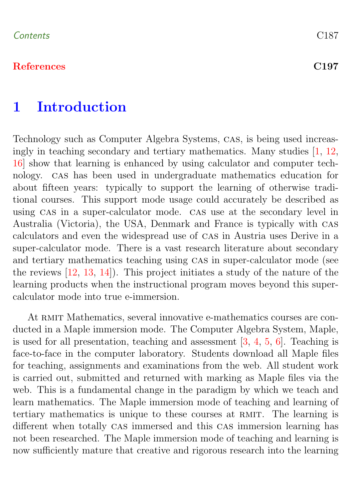#### <span id="page-2-1"></span>[References](#page-12-0) C197

# <span id="page-2-0"></span>1 Introduction

Technology such as Computer Algebra Systems, cas, is being used increasingly in teaching secondary and tertiary mathematics. Many studies [\[1,](#page-12-1) [12,](#page-14-0) [16\]](#page-14-1) show that learning is enhanced by using calculator and computer technology. cas has been used in undergraduate mathematics education for about fifteen years: typically to support the learning of otherwise traditional courses. This support mode usage could accurately be described as using CAS in a super-calculator mode. CAS use at the secondary level in Australia (Victoria), the USA, Denmark and France is typically with cas calculators and even the widespread use of cas in Austria uses Derive in a super-calculator mode. There is a vast research literature about secondary and tertiary mathematics teaching using CAS in super-calculator mode (see the reviews [\[12,](#page-14-0) [13,](#page-14-2) [14\]](#page-14-3)). This project initiates a study of the nature of the learning products when the instructional program moves beyond this supercalculator mode into true e-immersion.

At RMIT Mathematics, several innovative e-mathematics courses are conducted in a Maple immersion mode. The Computer Algebra System, Maple, is used for all presentation, teaching and assessment [\[3,](#page-12-2) [4,](#page-12-3) [5,](#page-13-0) [6\]](#page-13-1). Teaching is face-to-face in the computer laboratory. Students download all Maple files for teaching, assignments and examinations from the web. All student work is carried out, submitted and returned with marking as Maple files via the web. This is a fundamental change in the paradigm by which we teach and learn mathematics. The Maple immersion mode of teaching and learning of tertiary mathematics is unique to these courses at RMIT. The learning is different when totally CAS immersed and this CAS immersion learning has not been researched. The Maple immersion mode of teaching and learning is now sufficiently mature that creative and rigorous research into the learning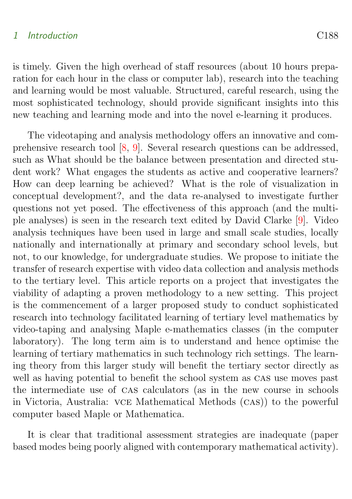#### <span id="page-3-0"></span>1 Introduction C188

is timely. Given the high overhead of staff resources (about 10 hours preparation for each hour in the class or computer lab), research into the teaching and learning would be most valuable. Structured, careful research, using the most sophisticated technology, should provide significant insights into this new teaching and learning mode and into the novel e-learning it produces.

The videotaping and analysis methodology offers an innovative and comprehensive research tool [\[8,](#page-13-2) [9\]](#page-13-3). Several research questions can be addressed, such as What should be the balance between presentation and directed student work? What engages the students as active and cooperative learners? How can deep learning be achieved? What is the role of visualization in conceptual development?, and the data re-analysed to investigate further questions not yet posed. The effectiveness of this approach (and the multiple analyses) is seen in the research text edited by David Clarke [\[9\]](#page-13-3). Video analysis techniques have been used in large and small scale studies, locally nationally and internationally at primary and secondary school levels, but not, to our knowledge, for undergraduate studies. We propose to initiate the transfer of research expertise with video data collection and analysis methods to the tertiary level. This article reports on a project that investigates the viability of adapting a proven methodology to a new setting. This project is the commencement of a larger proposed study to conduct sophisticated research into technology facilitated learning of tertiary level mathematics by video-taping and analysing Maple e-mathematics classes (in the computer laboratory). The long term aim is to understand and hence optimise the learning of tertiary mathematics in such technology rich settings. The learning theory from this larger study will benefit the tertiary sector directly as well as having potential to benefit the school system as CAS use moves past the intermediate use of cas calculators (as in the new course in schools in Victoria, Australia: vce Mathematical Methods (cas)) to the powerful computer based Maple or Mathematica.

It is clear that traditional assessment strategies are inadequate (paper based modes being poorly aligned with contemporary mathematical activity).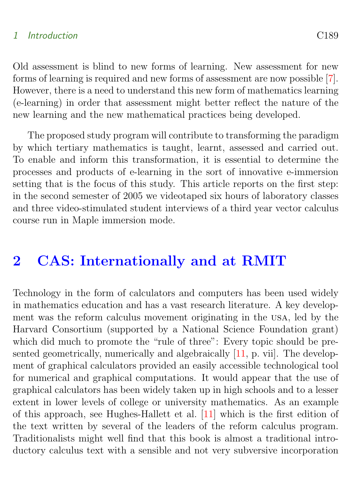#### <span id="page-4-1"></span>1 Introduction C189

Old assessment is blind to new forms of learning. New assessment for new forms of learning is required and new forms of assessment are now possible [\[7\]](#page-13-4). However, there is a need to understand this new form of mathematics learning (e-learning) in order that assessment might better reflect the nature of the new learning and the new mathematical practices being developed.

The proposed study program will contribute to transforming the paradigm by which tertiary mathematics is taught, learnt, assessed and carried out. To enable and inform this transformation, it is essential to determine the processes and products of e-learning in the sort of innovative e-immersion setting that is the focus of this study. This article reports on the first step: in the second semester of 2005 we videotaped six hours of laboratory classes and three video-stimulated student interviews of a third year vector calculus course run in Maple immersion mode.

# <span id="page-4-0"></span>2 CAS: Internationally and at RMIT

Technology in the form of calculators and computers has been used widely in mathematics education and has a vast research literature. A key development was the reform calculus movement originating in the usa, led by the Harvard Consortium (supported by a National Science Foundation grant) which did much to promote the "rule of three": Every topic should be presented geometrically, numerically and algebraically  $[11, p. vii]$  $[11, p. vii]$ . The development of graphical calculators provided an easily accessible technological tool for numerical and graphical computations. It would appear that the use of graphical calculators has been widely taken up in high schools and to a lesser extent in lower levels of college or university mathematics. As an example of this approach, see Hughes-Hallett et al. [\[11\]](#page-13-5) which is the first edition of the text written by several of the leaders of the reform calculus program. Traditionalists might well find that this book is almost a traditional introductory calculus text with a sensible and not very subversive incorporation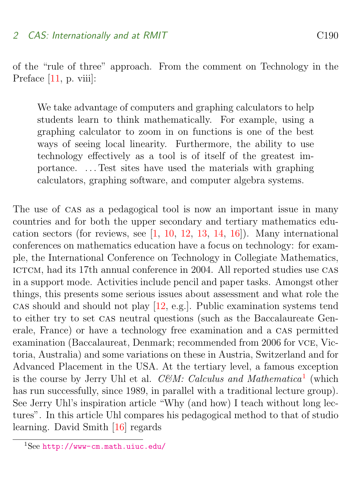<span id="page-5-1"></span>of the "rule of three" approach. From the comment on Technology in the Preface [\[11,](#page-13-5) p. viii]:

We take advantage of computers and graphing calculators to help students learn to think mathematically. For example, using a graphing calculator to zoom in on functions is one of the best ways of seeing local linearity. Furthermore, the ability to use technology effectively as a tool is of itself of the greatest importance. . . . Test sites have used the materials with graphing calculators, graphing software, and computer algebra systems.

The use of cas as a pedagogical tool is now an important issue in many countries and for both the upper secondary and tertiary mathematics education sectors (for reviews, see [\[1,](#page-12-1) [10,](#page-13-6) [12,](#page-14-0) [13,](#page-14-2) [14,](#page-14-3) [16\]](#page-14-1)). Many international conferences on mathematics education have a focus on technology: for example, the International Conference on Technology in Collegiate Mathematics, ICTCM, had its 17th annual conference in 2004. All reported studies use CAS in a support mode. Activities include pencil and paper tasks. Amongst other things, this presents some serious issues about assessment and what role the cas should and should not play [\[12,](#page-14-0) e.g.]. Public examination systems tend to either try to set cas neutral questions (such as the Baccalaureate Generale, France) or have a technology free examination and a cas permitted examination (Baccalaureat, Denmark; recommended from 2006 for vce, Victoria, Australia) and some variations on these in Austria, Switzerland and for Advanced Placement in the USA. At the tertiary level, a famous exception is the course by Jerry Uhl et al. CEM: Calculus and Mathematica<sup>[1](#page-5-0)</sup> (which has run successfully, since 1989, in parallel with a traditional lecture group). See Jerry Uhl's inspiration article "Why (and how) I teach without long lectures". In this article Uhl compares his pedagogical method to that of studio learning. David Smith [\[16\]](#page-14-1) regards

<span id="page-5-0"></span> $1$ See <http://www-cm.math.uiuc.edu/>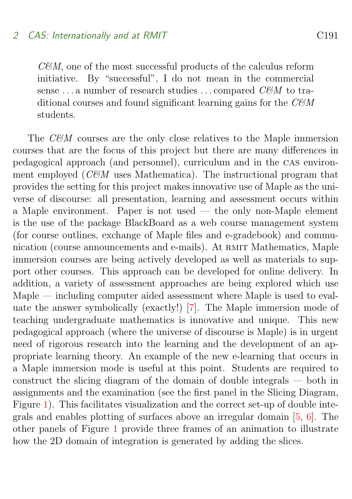#### <span id="page-6-1"></span>2 CAS: Internationally and at RMIT

 $CEM$ , one of the most successful products of the calculus reform initiative. By "successful", I do not mean in the commercial sense ... a number of research studies ... compared  $CEM$  to traditional courses and found significant learning gains for the  $CEM$ students.

<span id="page-6-0"></span>The  $CEM$  courses are the only close relatives to the Maple immersion courses that are the focus of this project but there are many differences in pedagogical approach (and personnel), curriculum and in the cas environment employed ( $CEM$  uses Mathematica). The instructional program that provides the setting for this project makes innovative use of Maple as the universe of discourse: all presentation, learning and assessment occurs within a Maple environment. Paper is not used — the only non-Maple element is the use of the package BlackBoard as a web course management system (for course outlines, exchange of Maple files and e-gradebook) and communication (course announcements and e-mails). At RMIT Mathematics, Maple immersion courses are being actively developed as well as materials to support other courses. This approach can be developed for online delivery. In addition, a variety of assessment approaches are being explored which use Maple — including computer aided assessment where Maple is used to evaluate the answer symbolically (exactly!) [\[7\]](#page-13-4). The Maple immersion mode of teaching undergraduate mathematics is innovative and unique. This new pedagogical approach (where the universe of discourse is Maple) is in urgent need of rigorous research into the learning and the development of an appropriate learning theory. An example of the new e-learning that occurs in a Maple immersion mode is useful at this point. Students are required to construct the slicing diagram of the domain of double integrals — both in assignments and the examination (see the first panel in the Slicing Diagram, Figure [1\)](#page-7-0). This facilitates visualization and the correct set-up of double integrals and enables plotting of surfaces above an irregular domain [\[5,](#page-13-0) [6\]](#page-13-1). The other panels of Figure [1](#page-7-0) provide three frames of an animation to illustrate how the 2D domain of integration is generated by adding the slices.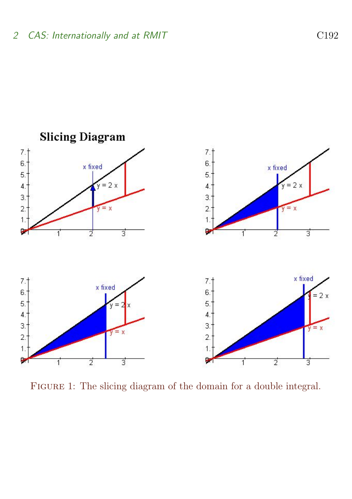

<span id="page-7-0"></span>FIGURE 1: The slicing diagram of the domain for a double integral.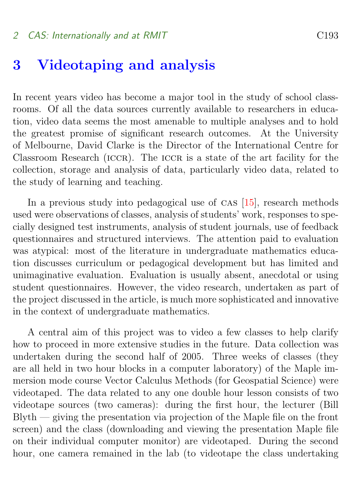#### <span id="page-8-0"></span>2 CAS: Internationally and at RMIT

## 3 Videotaping and analysis

In recent years video has become a major tool in the study of school classrooms. Of all the data sources currently available to researchers in education, video data seems the most amenable to multiple analyses and to hold the greatest promise of significant research outcomes. At the University of Melbourne, David Clarke is the Director of the International Centre for Classroom Research (ICCR). The ICCR is a state of the art facility for the collection, storage and analysis of data, particularly video data, related to the study of learning and teaching.

In a previous study into pedagogical use of CAS [\[15\]](#page-14-4), research methods used were observations of classes, analysis of students' work, responses to specially designed test instruments, analysis of student journals, use of feedback questionnaires and structured interviews. The attention paid to evaluation was atypical: most of the literature in undergraduate mathematics education discusses curriculum or pedagogical development but has limited and unimaginative evaluation. Evaluation is usually absent, anecdotal or using student questionnaires. However, the video research, undertaken as part of the project discussed in the article, is much more sophisticated and innovative in the context of undergraduate mathematics.

A central aim of this project was to video a few classes to help clarify how to proceed in more extensive studies in the future. Data collection was undertaken during the second half of 2005. Three weeks of classes (they are all held in two hour blocks in a computer laboratory) of the Maple immersion mode course Vector Calculus Methods (for Geospatial Science) were videotaped. The data related to any one double hour lesson consists of two videotape sources (two cameras): during the first hour, the lecturer (Bill Blyth — giving the presentation via projection of the Maple file on the front screen) and the class (downloading and viewing the presentation Maple file on their individual computer monitor) are videotaped. During the second hour, one camera remained in the lab (to videotape the class undertaking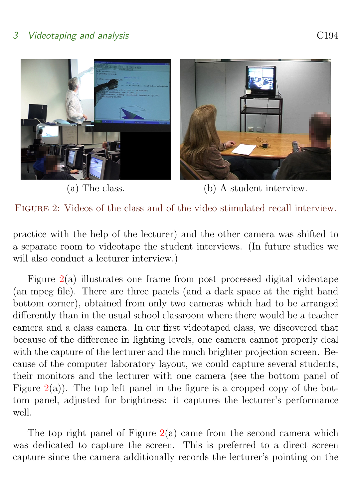#### 3 Videotaping and analysis CHS COME COME CONSERVERT COMMUNIST COMMUNIST COMMUNIST COMMUNIST COMMUNIST COMMUNIST COMMUNIST COMMUNIST COMMUNIST COMMUNIST COMMUNIST COMMUNIST COMMUNIST COMMUNIST COMMUNIST COMMUNIST COMMUNIST





<span id="page-9-0"></span>(a) The class. (b) A student interview.

Figure 2: Videos of the class and of the video stimulated recall interview.

practice with the help of the lecturer) and the other camera was shifted to a separate room to videotape the student interviews. (In future studies we will also conduct a lecturer interview.)

Figure [2\(](#page-9-0)a) illustrates one frame from post processed digital videotape (an mpeg file). There are three panels (and a dark space at the right hand bottom corner), obtained from only two cameras which had to be arranged differently than in the usual school classroom where there would be a teacher camera and a class camera. In our first videotaped class, we discovered that because of the difference in lighting levels, one camera cannot properly deal with the capture of the lecturer and the much brighter projection screen. Because of the computer laboratory layout, we could capture several students, their monitors and the lecturer with one camera (see the bottom panel of Figure  $2(a)$  $2(a)$ ). The top left panel in the figure is a cropped copy of the bottom panel, adjusted for brightness: it captures the lecturer's performance well.

The top right panel of Figure  $2(a)$  $2(a)$  came from the second camera which was dedicated to capture the screen. This is preferred to a direct screen capture since the camera additionally records the lecturer's pointing on the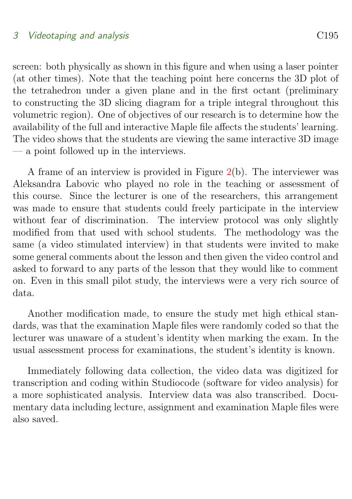#### 3 Videotaping and analysis CHS

screen: both physically as shown in this figure and when using a laser pointer (at other times). Note that the teaching point here concerns the 3D plot of the tetrahedron under a given plane and in the first octant (preliminary to constructing the 3D slicing diagram for a triple integral throughout this volumetric region). One of objectives of our research is to determine how the availability of the full and interactive Maple file affects the students' learning. The video shows that the students are viewing the same interactive 3D image — a point followed up in the interviews.

A frame of an interview is provided in Figure  $2(b)$  $2(b)$ . The interviewer was Aleksandra Labovic who played no role in the teaching or assessment of this course. Since the lecturer is one of the researchers, this arrangement was made to ensure that students could freely participate in the interview without fear of discrimination. The interview protocol was only slightly modified from that used with school students. The methodology was the same (a video stimulated interview) in that students were invited to make some general comments about the lesson and then given the video control and asked to forward to any parts of the lesson that they would like to comment on. Even in this small pilot study, the interviews were a very rich source of data.

Another modification made, to ensure the study met high ethical standards, was that the examination Maple files were randomly coded so that the lecturer was unaware of a student's identity when marking the exam. In the usual assessment process for examinations, the student's identity is known.

<span id="page-10-0"></span>Immediately following data collection, the video data was digitized for transcription and coding within Studiocode (software for video analysis) for a more sophisticated analysis. Interview data was also transcribed. Documentary data including lecture, assignment and examination Maple files were also saved.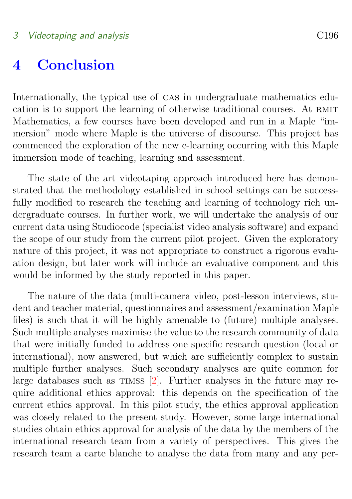# <span id="page-11-0"></span>4 Conclusion

Internationally, the typical use of CAS in undergraduate mathematics education is to support the learning of otherwise traditional courses. At RMIT Mathematics, a few courses have been developed and run in a Maple "immersion" mode where Maple is the universe of discourse. This project has commenced the exploration of the new e-learning occurring with this Maple immersion mode of teaching, learning and assessment.

The state of the art videotaping approach introduced here has demonstrated that the methodology established in school settings can be successfully modified to research the teaching and learning of technology rich undergraduate courses. In further work, we will undertake the analysis of our current data using Studiocode (specialist video analysis software) and expand the scope of our study from the current pilot project. Given the exploratory nature of this project, it was not appropriate to construct a rigorous evaluation design, but later work will include an evaluative component and this would be informed by the study reported in this paper.

The nature of the data (multi-camera video, post-lesson interviews, student and teacher material, questionnaires and assessment/examination Maple files) is such that it will be highly amenable to (future) multiple analyses. Such multiple analyses maximise the value to the research community of data that were initially funded to address one specific research question (local or international), now answered, but which are sufficiently complex to sustain multiple further analyses. Such secondary analyses are quite common for large databases such as  $T$ IMSS  $[2]$ . Further analyses in the future may require additional ethics approval: this depends on the specification of the current ethics approval. In this pilot study, the ethics approval application was closely related to the present study. However, some large international studies obtain ethics approval for analysis of the data by the members of the international research team from a variety of perspectives. This gives the research team a carte blanche to analyse the data from many and any per-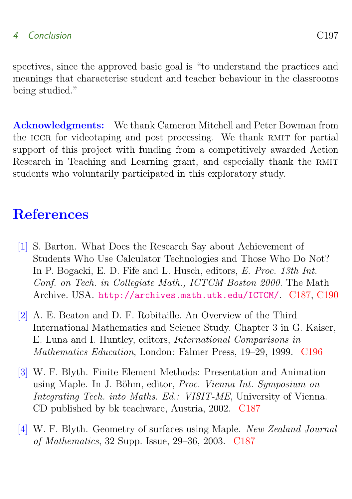#### 4 Conclusion C197

spectives, since the approved basic goal is "to understand the practices and meanings that characterise student and teacher behaviour in the classrooms being studied."

Acknowledgments: We thank Cameron Mitchell and Peter Bowman from the ICCR for videotaping and post processing. We thank RMIT for partial support of this project with funding from a competitively awarded Action Research in Teaching and Learning grant, and especially thank the RMIT students who voluntarily participated in this exploratory study.

# **References**

- <span id="page-12-1"></span><span id="page-12-0"></span>[1] S. Barton. What Does the Research Say about Achievement of Students Who Use Calculator Technologies and Those Who Do Not? In P. Bogacki, E. D. Fife and L. Husch, editors, E. Proc. 13th Int. Conf. on Tech. in Collegiate Math., ICTCM Boston 2000. The Math Archive. USA. <http://archives.math.utk.edu/ICTCM/>. [C187,](#page-2-1) [C190](#page-5-1)
- <span id="page-12-4"></span>[2] A. E. Beaton and D. F. Robitaille. An Overview of the Third International Mathematics and Science Study. Chapter 3 in G. Kaiser, E. Luna and I. Huntley, editors, International Comparisons in Mathematics Education, London: Falmer Press, 19–29, 1999. [C196](#page-11-0)
- <span id="page-12-2"></span>[3] W. F. Blyth. Finite Element Methods: Presentation and Animation using Maple. In J. Böhm, editor, Proc. Vienna Int. Symposium on Integrating Tech. into Maths. Ed.: VISIT-ME, University of Vienna. CD published by bk teachware, Austria, 2002. [C187](#page-2-1)
- <span id="page-12-3"></span>[4] W. F. Blyth. Geometry of surfaces using Maple. New Zealand Journal of Mathematics, 32 Supp. Issue, 29–36, 2003. [C187](#page-2-1)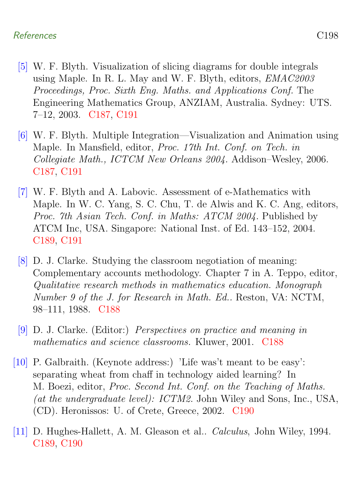#### References C198

- <span id="page-13-0"></span>[5] W. F. Blyth. Visualization of slicing diagrams for double integrals using Maple. In R. L. May and W. F. Blyth, editors, EMAC2003 Proceedings, Proc. Sixth Eng. Maths. and Applications Conf. The Engineering Mathematics Group, ANZIAM, Australia. Sydney: UTS. 7–12, 2003. [C187,](#page-2-1) [C191](#page-6-1)
- <span id="page-13-1"></span>[6] W. F. Blyth. Multiple Integration—Visualization and Animation using Maple. In Mansfield, editor, Proc. 17th Int. Conf. on Tech. in Collegiate Math., ICTCM New Orleans 2004. Addison–Wesley, 2006. [C187,](#page-2-1) [C191](#page-6-1)
- <span id="page-13-4"></span>[7] W. F. Blyth and A. Labovic. Assessment of e-Mathematics with Maple. In W. C. Yang, S. C. Chu, T. de Alwis and K. C. Ang, editors, Proc. 7th Asian Tech. Conf. in Maths: ATCM 2004. Published by ATCM Inc, USA. Singapore: National Inst. of Ed. 143–152, 2004. [C189,](#page-4-1) [C191](#page-6-1)
- <span id="page-13-2"></span>[8] D. J. Clarke. Studying the classroom negotiation of meaning: Complementary accounts methodology. Chapter 7 in A. Teppo, editor, Qualitative research methods in mathematics education. Monograph Number 9 of the J. for Research in Math. Ed.. Reston, VA: NCTM, 98–111, 1988. [C188](#page-3-0)
- <span id="page-13-3"></span>[9] D. J. Clarke. (Editor:) Perspectives on practice and meaning in mathematics and science classrooms. Kluwer, 2001. [C188](#page-3-0)
- <span id="page-13-6"></span>[10] P. Galbraith. (Keynote address:) 'Life was't meant to be easy': separating wheat from chaff in technology aided learning? In M. Boezi, editor, Proc. Second Int. Conf. on the Teaching of Maths. (at the undergraduate level): ICTM2. John Wiley and Sons, Inc., USA, (CD). Heronissos: U. of Crete, Greece, 2002. [C190](#page-5-1)
- <span id="page-13-5"></span>[11] D. Hughes-Hallett, A. M. Gleason et al.. Calculus, John Wiley, 1994. [C189,](#page-4-1) [C190](#page-5-1)